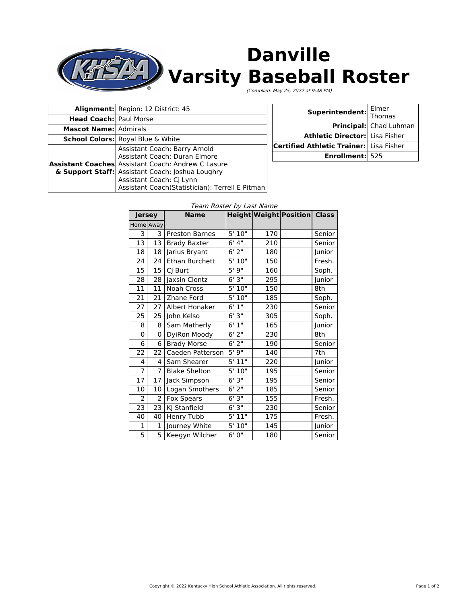

# **Danville Varsity Baseball Roster**

(Complied: May 25, 2022 at 9:48 PM)

|                               | Alignment: Region: 12 District: 45                                                                                                                                                                                                                             |
|-------------------------------|----------------------------------------------------------------------------------------------------------------------------------------------------------------------------------------------------------------------------------------------------------------|
| <b>Head Coach: Paul Morse</b> |                                                                                                                                                                                                                                                                |
| <b>Mascot Name: Admirals</b>  |                                                                                                                                                                                                                                                                |
|                               | <b>School Colors:</b> Royal Blue & White                                                                                                                                                                                                                       |
|                               | Assistant Coach: Barry Arnold<br>Assistant Coach: Duran Elmore<br><b>Assistant Coaches</b> Assistant Coach: Andrew C Lasure<br>& Support Staff: Assistant Coach: Joshua Loughry<br>Assistant Coach: Cj Lynn<br>Assistant Coach(Statistician): Terrell E Pitman |

| <b>Superintendent:</b> Thomas                  |                        |  |
|------------------------------------------------|------------------------|--|
|                                                | Principal: Chad Luhman |  |
| Athletic Director: Lisa Fisher                 |                        |  |
| <b>Certified Athletic Trainer:</b> Lisa Fisher |                        |  |
| Enrollment: 525                                |                        |  |

| <b>Jersey</b>  |    | <b>Name</b>           |                  |     | <b>Height Weight Position Class</b> |        |
|----------------|----|-----------------------|------------------|-----|-------------------------------------|--------|
| Home Away      |    |                       |                  |     |                                     |        |
| 3              | 3  | <b>Preston Barnes</b> | 5'10"            | 170 |                                     | Senior |
| 13             | 13 | <b>Brady Baxter</b>   | 6' 4''           | 210 |                                     | Senior |
| 18             | 18 | Jarius Bryant         | 6'2"             | 180 |                                     | Junior |
| 24             | 24 | Ethan Burchett        | 5'10"            | 150 |                                     | Fresh. |
| 15             | 15 | CJ Burt               | 5'9''            | 160 |                                     | Soph.  |
| 28             | 28 | Jaxsin Clontz         | 6'3''            | 295 |                                     | Junior |
| 11             | 11 | Noah Cross            | 5'10"            | 150 |                                     | 8th    |
| 21             | 21 | Zhane Ford            | 5'10"            | 185 |                                     | Soph.  |
| 27             | 27 | Albert Honaker        | 6'1''            | 230 |                                     | Senior |
| 25             | 25 | John Kelso            | 6'3"             | 305 |                                     | Soph.  |
| 8              | 8  | Sam Matherly          | 6'1''            | 165 |                                     | Junior |
| 0              | 0  | DyiRon Moody          | 6'2''            | 230 |                                     | 8th    |
| 6              | 6  | <b>Brady Morse</b>    | $6'$ 2"          | 190 |                                     | Senior |
| 22             | 22 | Caeden Patterson      | 5'9''            | 140 |                                     | 7th    |
| 4              | 4  | Sam Shearer           | 5'11"            | 220 |                                     | Junior |
| $\overline{7}$ | 7  | <b>Blake Shelton</b>  | 5'10"            | 195 |                                     | Senior |
| 17             | 17 | Jack Simpson          | 6'3''            | 195 |                                     | Senior |
| 10             | 10 | Logan Smothers        | 6'2''            | 185 |                                     | Senior |
| $\overline{2}$ | 2  | <b>Fox Spears</b>     | 6'3"             | 155 |                                     | Fresh. |
| 23             | 23 | KJ Stanfield          | 6'3''            | 230 |                                     | Senior |
| 40             | 40 | Henry Tubb            | 5' 11"           | 175 |                                     | Fresh. |
| 1              | 1  | Journey White         | 5'10"            | 145 |                                     | Junior |
| 5              | 5  | Keegyn Wilcher        | $\frac{1}{6}$ 0" | 180 |                                     | Senior |

#### Team Roster by Last Name